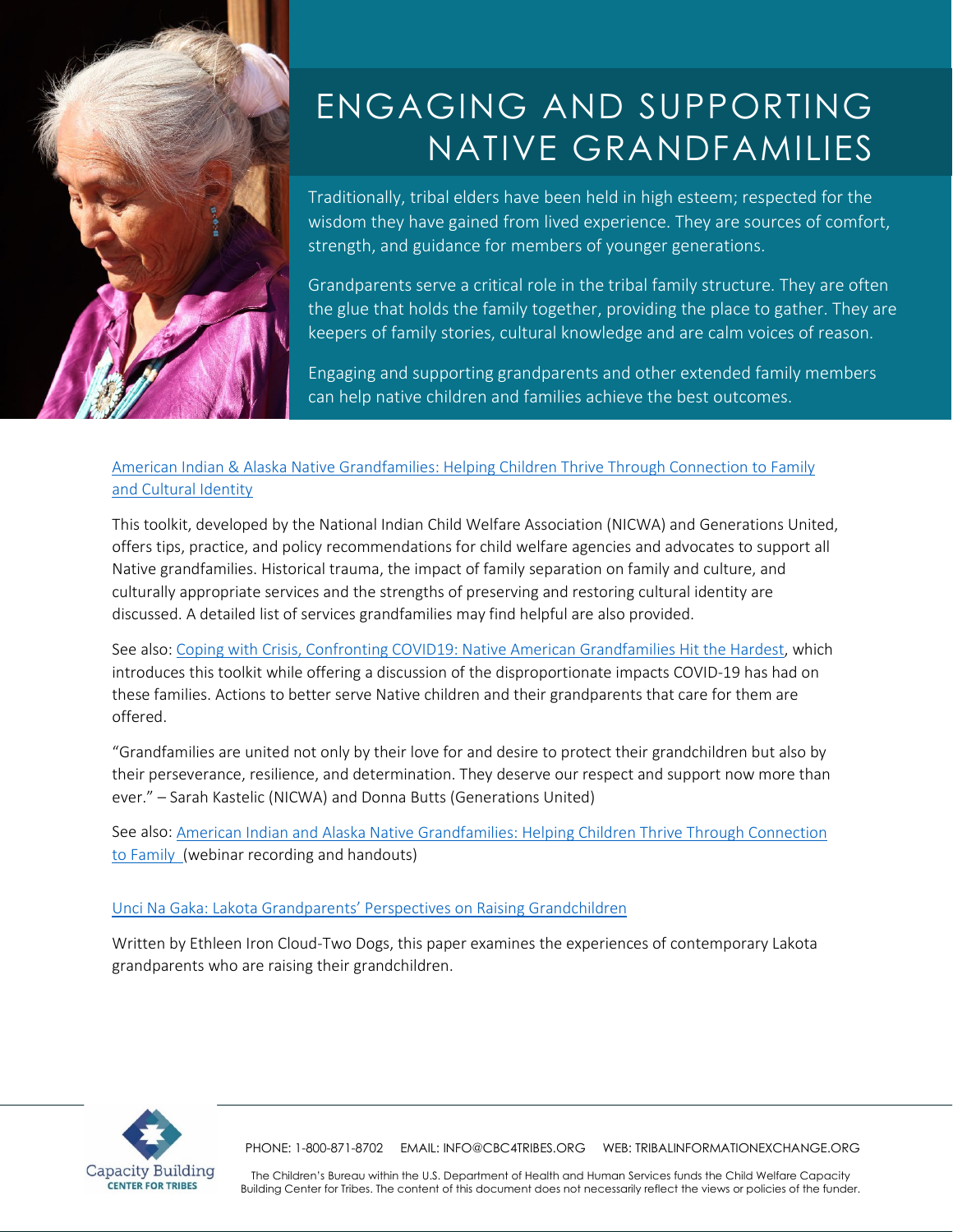

# ENGAGING AND SUPPORTING NATIVE GRANDFAMILIES

Traditionally, tribal elders have been held in high esteem; respected for the wisdom they have gained from lived experience. They are sources of comfort, strength, and guidance for members of younger generations.

Grandparents serve a critical role in the tribal family structure. They are often the glue that holds the family together, providing the place to gather. They are keepers of family stories, cultural knowledge and are calm voices of reason.

Engaging and supporting grandparents and other extended family members can help native children and families achieve the best outcomes.

# [American Indian & Alaska Native Grandfamilies: Helping Children Thrive Through Connection to Family](https://www.gu.org/app/uploads/2020/07/AIAN-Toolkit-WEB.pdf)  [and Cultural Identity](https://www.gu.org/app/uploads/2020/07/AIAN-Toolkit-WEB.pdf)

This toolkit, developed by the National Indian Child Welfare Association (NICWA) and Generations United, offers tips, practice, and policy recommendations for child welfare agencies and advocates to support all Native grandfamilies. Historical trauma, the impact of family separation on family and culture, and culturally appropriate services and the strengths of preserving and restoring cultural identity are discussed. A detailed list of services grandfamilies may find helpful are also provided.

See also: [Coping with Crisis, Confronting COVID19: Native American Grandfamilies Hit the Hardest,](https://gensunited.medium.com/coping-with-crisis-confronting-covid19-native-american-grandfamilies-hit-the-hardest-33e2c6422854) which introduces this toolkit while offering a discussion of the disproportionate impacts COVID-19 has had on these families. Actions to better serve Native children and their grandparents that care for them are offered.

"Grandfamilies are united not only by their love for and desire to protect their grandchildren but also by their perseverance, resilience, and determination. They deserve our respect and support now more than ever." – Sarah Kastelic (NICWA) and Donna Butts (Generations United)

See also: [American Indian and Alaska Native Grandfamilies: Helping Children Thrive Through Connection](https://www.unitedforyouth.org/resources/american-indian-and-alaska-native-grandfamilies-helping-children-thrive-through)  [to Family \(webinar recording](https://www.unitedforyouth.org/resources/american-indian-and-alaska-native-grandfamilies-helping-children-thrive-through) and handouts)

### [Unci Na Gaka: Lakota Grandparents' Perspectives on Raising Grandchildren](https://tribalinformationexchange.org/files/resources/GrandparentsZRaisingZGrandchildrenZEICTDZ2011.pdf)

Written by Ethleen Iron Cloud-Two Dogs, this paper examines the experiences of contemporary Lakota grandparents who are raising their grandchildren.



PHONE: 1-800-871-8702 EMAIL[: INFO@CBC4TRIBES.ORG](mailto:info@cbc4tribes.org) WEB: TRIBALINFORMATIONEXCHANGE.ORG

The Children's Bureau within the U.S. Department of Health and Human Services funds the Child Welfare Capacity Building Center for Tribes. The content of this document does not necessarily reflect the views or policies of the funder.